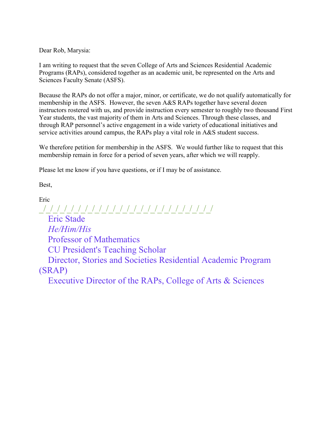Dear Rob, Marysia:

I am writing to request that the seven College of Arts and Sciences Residential Academic Programs (RAPs), considered together as an academic unit, be represented on the Arts and Sciences Faculty Senate (ASFS).

Because the RAPs do not offer a major, minor, or certificate, we do not qualify automatically for membership in the ASFS. However, the seven A&S RAPs together have several dozen instructors rostered with us, and provide instruction every semester to roughly two thousand First Year students, the vast majority of them in Arts and Sciences. Through these classes, and through RAP personnel's active engagement in a wide variety of educational initiatives and service activities around campus, the RAPs play a vital role in A&S student success.

We therefore petition for membership in the ASFS. We would further like to request that this membership remain in force for a period of seven years, after which we will reapply.

Please let me know if you have questions, or if I may be of assistance.

Best,

Eric \_/\_/\_/\_/\_/\_/\_/\_/\_/\_/\_/\_/\_/\_/\_/\_/\_/\_/\_/\_/\_/\_/\_/\_/\_/ Eric Stade *He/Him/His* Professor of Mathematics CU President's Teaching Scholar Director, Stories and Societies Residential Academic Program (SRAP) Executive Director of the RAPs, College of Arts & Sciences